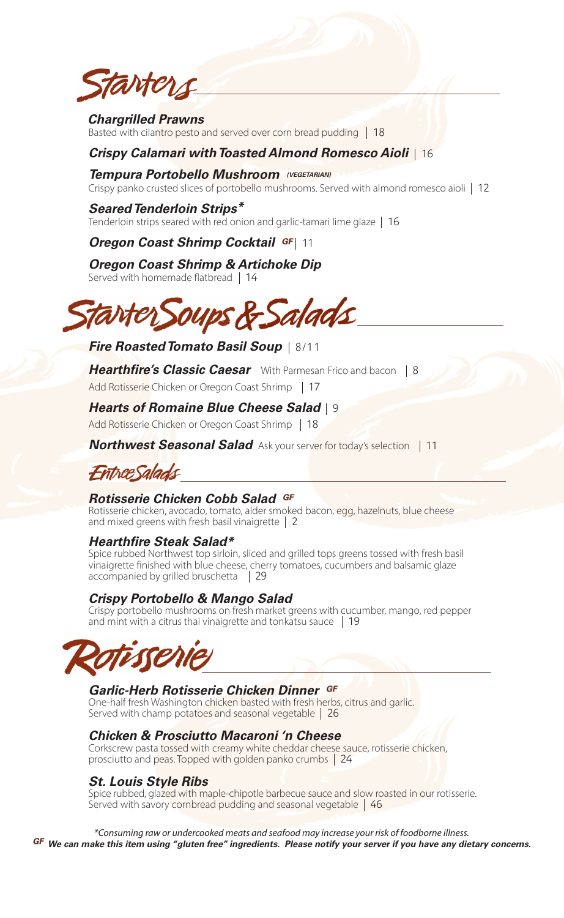

## *Chargrilled Prawns*

Basted with cilantro pesto and served over corn bread pudding **18**

## *Crispy Calamari with Toasted Almond Romesco Aioli*  **16**

*Tempura Portobello Mushroom (VEGETARIAN)* Crispy panko crusted slices of portobello mushrooms. Served with almond romesco aioli **12**

## *Seared Tenderloin Strips\**

Tenderloin strips seared with red onion and garlic-tamari lime glaze **16**

*Oregon Coast Shrimp Cocktail GF* **| 11** 

## *Oregon Coast Shrimp & Artichoke Dip*

Served with homemade flatbread **14**



# *Fire Roasted Tomato Basil Soup* **8/11**

**Hearthfire's Classic Caesar** With Parmesan Frico and bacon | 8 Add Rotisserie Chicken or Oregon Coast Shrimp **17**

# *Hearts of Romaine Blue Cheese Salad* **9**

Add Rotisserie Chicken or Oregon Coast Shrimp **18**

*Northwest Seasonal Salad* Ask your server for today's selection **11**

# **Entree Salads**

## *Rotisserie Chicken Cobb Salad GF*

Rotisserie chicken, avocado, tomato, alder smoked bacon, egg, hazelnuts, blue cheese and mixed greens with fresh basil vinaigrette **2**

## *Hearthfire Steak Salad\**

Spice rubbed Northwest top sirloin, sliced and grilled tops greens tossed with fresh basil vinaigrette finished with blue cheese, cherry tomatoes, cucumbers and balsamic glaze accompanied by grilled bruschetta **29**

## *Crispy Portobello & Mango Salad*

Crispy portobello mushrooms on fresh market greens with cucumber, mango, red pepper and mint with a citrus thai vinaigrette and tonkatsu sauce **19**



## *Garlic-Herb Rotisserie Chicken Dinner GF*

One-half fresh Washington chicken basted with fresh herbs, citrus and garlic. Served with champ potatoes and seasonal vegetable **26**

## *Chicken & Prosciutto Macaroni 'n Cheese*

Corkscrew pasta tossed with creamy white cheddar cheese sauce, rotisserie chicken, prosciutto and peas. Topped with golden panko crumbs **24**

## *St. Louis Style Ribs*

Spice rubbed, glazed with maple-chipotle barbecue sauce and slow roasted in our rotisserie. Served with savory cornbread pudding and seasonal vegetable **46**

\*Consuming raw or undercooked meats and seafood may increase your risk of foodborne illness.<br>GF We can make this item using "gluten free" ingredients. Please notify your server if you have any dietary concerns.